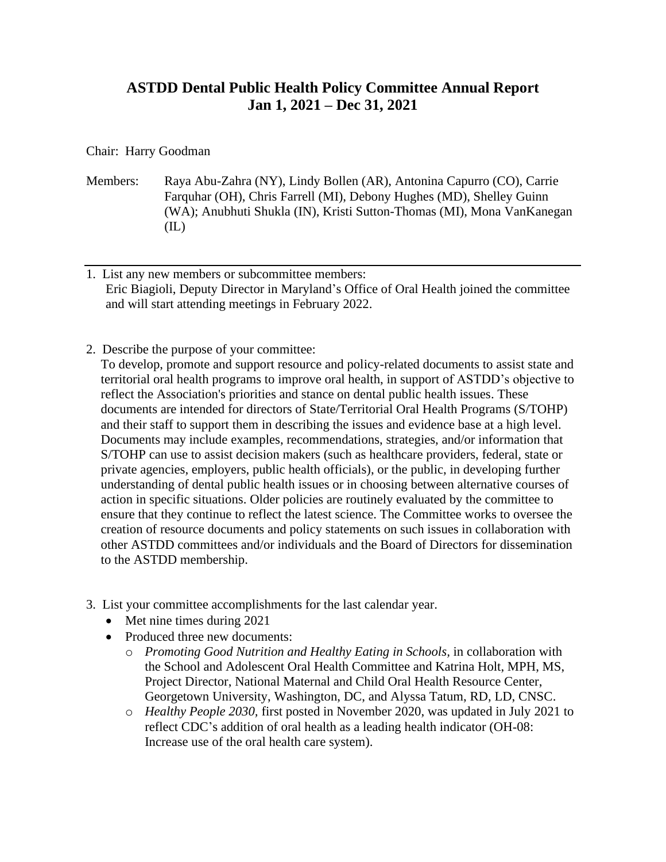## **ASTDD Dental Public Health Policy Committee Annual Report Jan 1, 2021 – Dec 31, 2021**

## Chair: Harry Goodman

- Members: Raya Abu-Zahra (NY), Lindy Bollen (AR), Antonina Capurro (CO), Carrie Farquhar (OH), Chris Farrell (MI), Debony Hughes (MD), Shelley Guinn (WA); Anubhuti Shukla (IN), Kristi Sutton-Thomas (MI), Mona VanKanegan (IL)
- 1. List any new members or subcommittee members: Eric Biagioli, Deputy Director in Maryland's Office of Oral Health joined the committee and will start attending meetings in February 2022.
- 2. Describe the purpose of your committee:

To develop, promote and support resource and policy-related documents to assist state and territorial oral health programs to improve oral health, in support of ASTDD's objective to reflect the Association's priorities and stance on dental public health issues. These documents are intended for directors of State/Territorial Oral Health Programs (S/TOHP) and their staff to support them in describing the issues and evidence base at a high level. Documents may include examples, recommendations, strategies, and/or information that S/TOHP can use to assist decision makers (such as healthcare providers, federal, state or private agencies, employers, public health officials), or the public, in developing further understanding of dental public health issues or in choosing between alternative courses of action in specific situations. Older policies are routinely evaluated by the committee to ensure that they continue to reflect the latest science. The Committee works to oversee the creation of resource documents and policy statements on such issues in collaboration with other ASTDD committees and/or individuals and the Board of Directors for dissemination to the ASTDD membership.

- 3. List your committee accomplishments for the last calendar year.
	- Met nine times during 2021
	- Produced three new documents:
		- o *Promoting Good Nutrition and Healthy Eating in Schools,* in collaboration with the School and Adolescent Oral Health Committee and Katrina Holt, MPH, MS, Project Director, National Maternal and Child Oral Health Resource Center, Georgetown University, Washington, DC, and Alyssa Tatum, RD, LD, CNSC.
		- o *Healthy People 2030,* first posted in November 2020, was updated in July 2021 to reflect CDC's addition of oral health as a leading health indicator (OH‑08: Increase use of the oral health care system).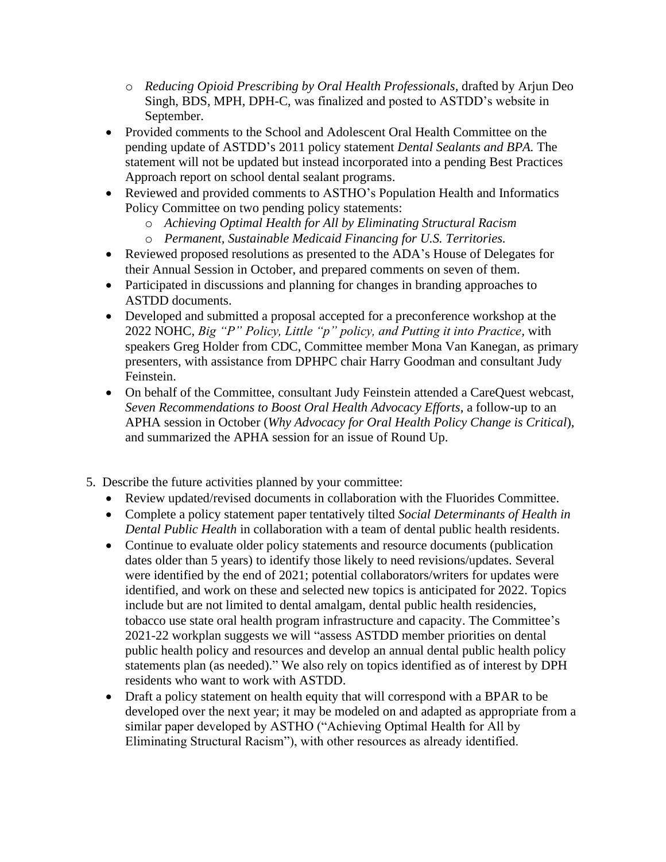- o *Reducing Opioid Prescribing by Oral Health Professionals,* drafted by Arjun Deo Singh, BDS, MPH, DPH-C, was finalized and posted to ASTDD's website in September.
- Provided comments to the School and Adolescent Oral Health Committee on the pending update of ASTDD's 2011 policy statement *Dental Sealants and BPA.* The statement will not be updated but instead incorporated into a pending Best Practices Approach report on school dental sealant programs.
- Reviewed and provided comments to ASTHO's Population Health and Informatics Policy Committee on two pending policy statements:
	- o *Achieving Optimal Health for All by Eliminating Structural Racism*
	- o *Permanent, Sustainable Medicaid Financing for U.S. Territories.*
- Reviewed proposed resolutions as presented to the ADA's House of Delegates for their Annual Session in October, and prepared comments on seven of them.
- Participated in discussions and planning for changes in branding approaches to ASTDD documents.
- Developed and submitted a proposal accepted for a preconference workshop at the 2022 NOHC, *Big "P" Policy, Little "p" policy, and Putting it into Practice,* with speakers Greg Holder from CDC, Committee member Mona Van Kanegan, as primary presenters, with assistance from DPHPC chair Harry Goodman and consultant Judy Feinstein.
- On behalf of the Committee, consultant Judy Feinstein attended a CareQuest webcast, *Seven Recommendations to Boost Oral Health Advocacy Efforts*, a follow-up to an APHA session in October (*Why Advocacy for Oral Health Policy Change is Critical*), and summarized the APHA session for an issue of Round Up.
- 5. Describe the future activities planned by your committee:
	- Review updated/revised documents in collaboration with the Fluorides Committee.
	- Complete a policy statement paper tentatively tilted *Social Determinants of Health in Dental Public Health* in collaboration with a team of dental public health residents.
	- Continue to evaluate older policy statements and resource documents (publication dates older than 5 years) to identify those likely to need revisions/updates. Several were identified by the end of 2021; potential collaborators/writers for updates were identified, and work on these and selected new topics is anticipated for 2022. Topics include but are not limited to dental amalgam, dental public health residencies, tobacco use state oral health program infrastructure and capacity. The Committee's 2021-22 workplan suggests we will "assess ASTDD member priorities on dental public health policy and resources and develop an annual dental public health policy statements plan (as needed)." We also rely on topics identified as of interest by DPH residents who want to work with ASTDD.
	- Draft a policy statement on health equity that will correspond with a BPAR to be developed over the next year; it may be modeled on and adapted as appropriate from a similar paper developed by ASTHO ("Achieving Optimal Health for All by Eliminating Structural Racism"), with other resources as already identified.